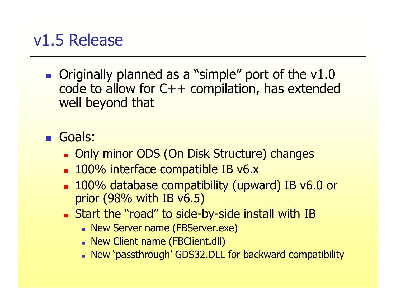### v1.5 Release

- **n** Originally planned as a "simple" port of the  $v1.0$ code to allow for  $C++$  compilation, has extended well beyond that
- <sup>n</sup> Goals:
	- **n** Only minor ODS (On Disk Structure) changes
	- **100% interface compatible IB v6.x**
	- 100% database compatibility (upward) IB v6.0 or prior (98% with IB v6.5)
	- **Start the "road" to side-by-side install with IB** 
		- **New Server name (FBServer.exe)**
		- **New Client name (FBClient.dll)**
		- New 'passthrough' GDS32.DLL for backward compatibility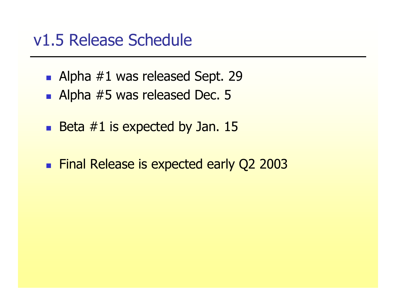### v1.5 Release Schedule

- **Alpha**  $#1$  **was released Sept. 29**
- Alpha #5 was released Dec. 5
- **Beta #1 is expected by Jan. 15**
- **Final Release is expected early Q2 2003**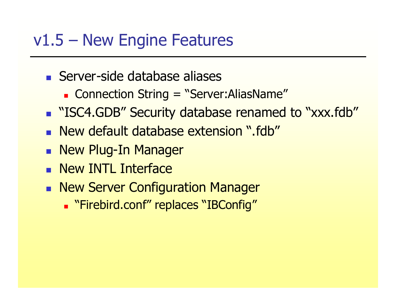### v1.5 – New Engine Features

- **n** Server-side database aliases
	- Connection String = "Server:AliasName"
- **n** "ISC4.GDB" Security database renamed to "xxx.fdb"
- **n New default database extension ".fdb"**
- **n New Plug-In Manager**
- **n** New INTL Interface
- **n New Server Configuration Manager** 
	- **n** "Firebird.conf" replaces "IBConfig"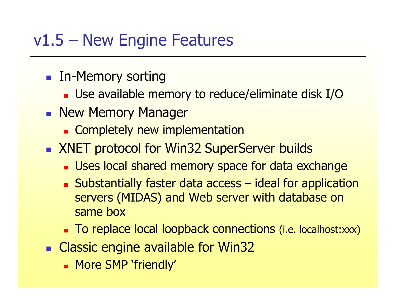### v1.5 – New Engine Features

- **n** In-Memory sorting
	- **Use available memory to reduce/eliminate disk I/O**
- **New Memory Manager** 
	- **n** Completely new implementation
- **NET protocol for Win32 SuperServer builds** 
	- **Uses local shared memory space for data exchange**
	- **Example 2 Substantially faster data access ideal for application** servers (MIDAS) and Web server with database on same box
	- **n** To replace local loopback connections (i.e. localhost:xxx)
- Classic engine available for Win32
	- **Nore SMP 'friendly'**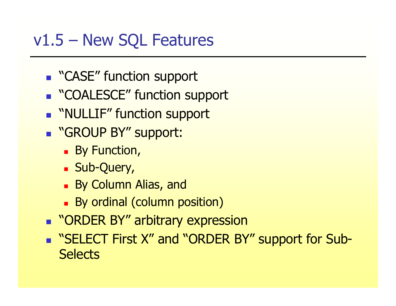# v1.5 – New SQL Features

- "CASE" function support
- "COALESCE" function support
- **NULLIF"** function support
- **NET "GROUP BY" support:** 
	- **By Function,**
	- **n** Sub-Query,
	- **By Column Alias, and**
	- **By ordinal (column position)**
- **n** "ORDER BY" arbitrary expression
- **NORDER BY"** Support for Sub-**Selects**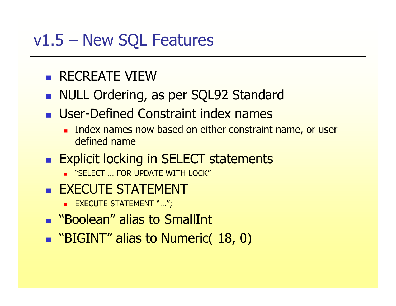# v1.5 – New SQL Features

- **RECREATE VIEW**
- NULL Ordering, as per SQL92 Standard
- **n User-Defined Constraint index names** 
	- **n Index names now based on either constraint name, or user** defined name
- **Explicit locking in SELECT statements** 
	- <sup>n</sup> "SELECT … FOR UPDATE WITH LOCK"
- **EXECUTE STATEMENT** 
	- EXECUTE STATEMENT "...";
- **n** "Boolean" alias to SmallInt
- **BIGINT'** alias to Numeric( 18, 0)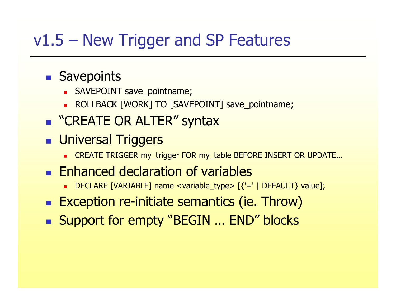# v1.5 – New Trigger and SP Features

#### **n** Savepoints

- **SAVEPOINT save\_pointname;**
- ROLLBACK [WORK] TO [SAVEPOINT] save\_pointname;
- **n** "CREATE OR ALTER" syntax
- **n** Universal Triggers
	- CREATE TRIGGER my\_trigger FOR my\_table BEFORE INSERT OR UPDATE...
- **Enhanced declaration of variables** 
	- <sup>n</sup> DECLARE [VARIABLE] name <variable\_type> [{'=' | DEFAULT} value];
- **Exception re-initiate semantics (ie. Throw)**
- Support for empty "BEGIN ... END" blocks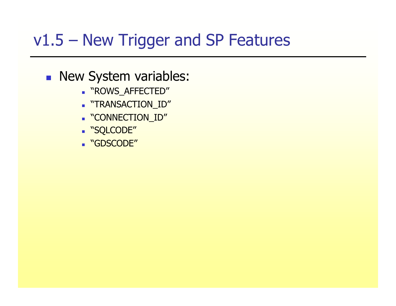# v1.5 – New Trigger and SP Features

#### **New System variables:**

- "ROWS\_AFFECTED"
- "TRANSACTION\_ID"
- "CONNECTION\_ID"
- **N** "SQLCODE"
- <sup>n</sup> "GDSCODE"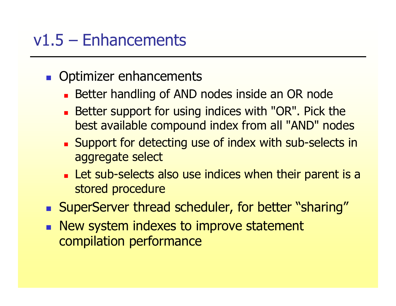# v1.5 – Enhancements

- **n** Optimizer enhancements
	- **Better handling of AND nodes inside an OR node**
	- **Better support for using indices with "OR". Pick the** best available compound index from all "AND" nodes
	- **Example 1** Support for detecting use of index with sub-selects in aggregate select
	- **Example 2 ret sub-selects also use indices when their parent is a** stored procedure
- **n** SuperServer thread scheduler, for better "sharing"
- **New system indexes to improve statement** compilation performance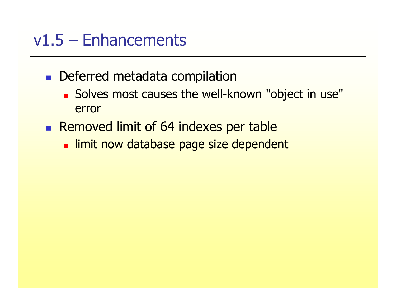## v1.5 – Enhancements

- **Deferred metadata compilation** 
	- **n** Solves most causes the well-known "object in use" error
- **Removed limit of 64 indexes per table** 
	- **n** limit now database page size dependent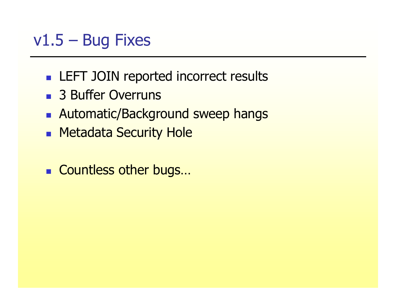# v1.5 – Bug Fixes

- **EXECT JOIN reported incorrect results**
- **n** 3 Buffer Overruns
- **Automatic/Background sweep hangs**
- **n Metadata Security Hole**
- Countless other bugs...